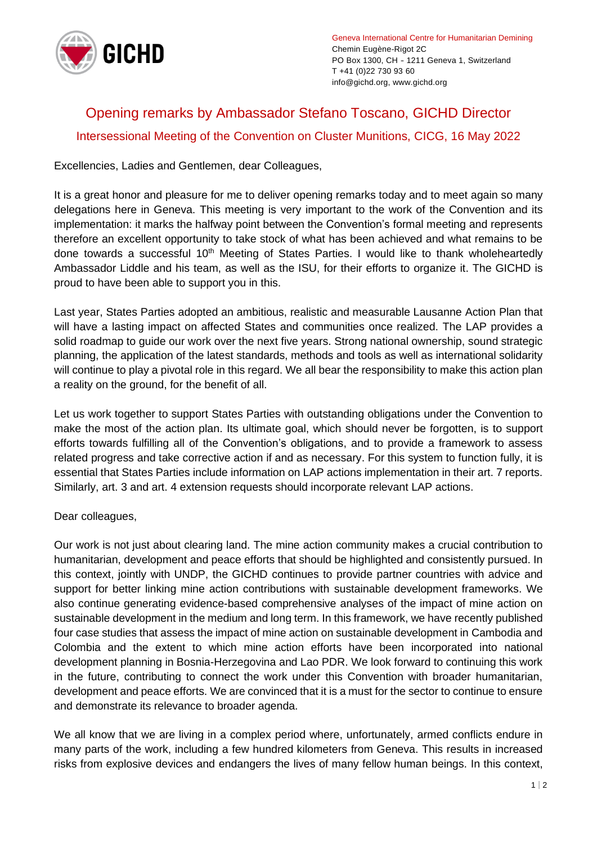

Geneva International Centre for Humanitarian Demining Chemin Eugène-Rigot 2C PO Box 1300, CH - 1211 Geneva 1, Switzerland T +41 (0)22 730 93 60 info@gichd.org, www.gichd.org

## Opening remarks by Ambassador Stefano Toscano, GICHD Director Intersessional Meeting of the Convention on Cluster Munitions, CICG, 16 May 2022

Excellencies, Ladies and Gentlemen, dear Colleagues,

It is a great honor and pleasure for me to deliver opening remarks today and to meet again so many delegations here in Geneva. This meeting is very important to the work of the Convention and its implementation: it marks the halfway point between the Convention's formal meeting and represents therefore an excellent opportunity to take stock of what has been achieved and what remains to be done towards a successful 10<sup>th</sup> Meeting of States Parties. I would like to thank wholeheartedly Ambassador Liddle and his team, as well as the ISU, for their efforts to organize it. The GICHD is proud to have been able to support you in this.

Last year, States Parties adopted an ambitious, realistic and measurable Lausanne Action Plan that will have a lasting impact on affected States and communities once realized. The LAP provides a solid roadmap to guide our work over the next five years. Strong national ownership, sound strategic planning, the application of the latest standards, methods and tools as well as international solidarity will continue to play a pivotal role in this regard. We all bear the responsibility to make this action plan a reality on the ground, for the benefit of all.

Let us work together to support States Parties with outstanding obligations under the Convention to make the most of the action plan. Its ultimate goal, which should never be forgotten, is to support efforts towards fulfilling all of the Convention's obligations, and to provide a framework to assess related progress and take corrective action if and as necessary. For this system to function fully, it is essential that States Parties include information on LAP actions implementation in their art. 7 reports. Similarly, art. 3 and art. 4 extension requests should incorporate relevant LAP actions.

## Dear colleagues,

Our work is not just about clearing land. The mine action community makes a crucial contribution to humanitarian, development and peace efforts that should be highlighted and consistently pursued. In this context, jointly with UNDP, the GICHD continues to provide partner countries with advice and support for better linking mine action contributions with sustainable development frameworks. We also continue generating evidence-based comprehensive analyses of the impact of mine action on sustainable development in the medium and long term. In this framework, we have recently published four case studies that assess the impact of mine action on sustainable development in Cambodia and Colombia and the extent to which mine action efforts have been incorporated into national development planning in Bosnia-Herzegovina and Lao PDR. We look forward to continuing this work in the future, contributing to connect the work under this Convention with broader humanitarian, development and peace efforts. We are convinced that it is a must for the sector to continue to ensure and demonstrate its relevance to broader agenda.

We all know that we are living in a complex period where, unfortunately, armed conflicts endure in many parts of the work, including a few hundred kilometers from Geneva. This results in increased risks from explosive devices and endangers the lives of many fellow human beings. In this context,